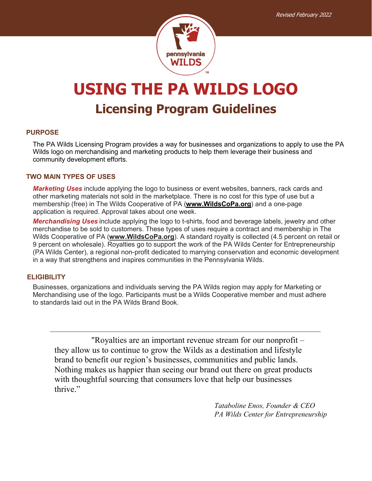

# **USING THE PA WILDS LOGO Licensing Program Guidelines**

# **PURPOSE**

The PA Wilds Licensing Program provides a way for businesses and organizations to apply to use the PA Wilds logo on merchandising and marketing products to help them leverage their business and community development efforts.

## **TWO MAIN TYPES OF USES**

*Marketing Uses* include applying the logo to business or event websites, banners, rack cards and other marketing materials not sold in the marketplace. There is no cost for this type of use but a membership (free) in The Wilds Cooperative of PA (**[www.WildsCoPa.org](http://www.wildscopa.org/)**) and a one-page application is required. Approval takes about one week.

*Merchandising Uses* include applying the logo to t-shirts, food and beverage labels, jewelry and other merchandise to be sold to customers. These types of uses require a contract and membership in The Wilds Cooperative of PA (**[www.WildsCoPa.org](http://www.wildscopa.org/)**). A standard royalty is collected (4.5 percent on retail or 9 percent on wholesale). Royalties go to support the work of the PA Wilds Center for Entrepreneurship (PA Wilds Center), a regional non-profit dedicated to marrying conservation and economic development in a way that strengthens and inspires communities in the Pennsylvania Wilds.

## **ELIGIBILITY**

Businesses, organizations and individuals serving the PA Wilds region may apply for Marketing or Merchandising use of the logo. Participants must be a Wilds Cooperative member and must adhere to standards laid out in the PA Wilds Brand Book.

"Royalties are an important revenue stream for our nonprofit – they allow us to continue to grow the Wilds as a destination and lifestyle brand to benefit our region's businesses, communities and public lands. Nothing makes us happier than seeing our brand out there on great products with thoughtful sourcing that consumers love that help our businesses thrive."

> *Tataboline Enos, Founder & CEO PA Wilds Center for Entrepreneurship*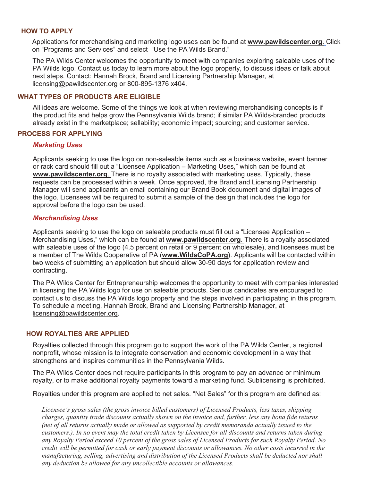#### **HOW TO APPLY**

Applications for merchandising and marketing logo uses can be found at **[www.pawildscenter.org](http://www.pawildscenter.org/)**[.](http://www.pawildscenter.org/) Click on "Programs and Services" and select "Use the PA Wilds Brand."

The PA Wilds Center welcomes the opportunity to meet with companies exploring saleable uses of the PA Wilds logo. Contact us today to learn more about the logo property, to discuss ideas or talk about next steps. Contact: Hannah Brock, Brand and Licensing Partnership Manager, at licensing@pawildscenter.org or 800-895-1376 x404.

### **WHAT TYPES OF PRODUCTS ARE ELIGIBLE**

All ideas are welcome. Some of the things we look at when reviewing merchandising concepts is if the product fits and helps grow the Pennsylvania Wilds brand; if similar PA Wilds-branded products already exist in the marketplace; sellability; economic impact; sourcing; and customer service.

## **PROCESS FOR APPLYING**

#### *Marketing Uses*

Applicants seeking to use the logo on non-saleable items such as a business website, event banner or rack card should fill out a "Licensee Application – Marketing Uses," which can be found at **[www.pawildscenter.org](http://www.pawildscenter.org/)**[. T](http://www.pawildscenter.org/)here is no royalty associated with marketing uses. Typically, these requests can be processed within a week. Once approved, the Brand and Licensing Partnership Manager will send applicants an email containing our Brand Book document and digital images of the logo. Licensees will be required to submit a sample of the design that includes the logo for approval before the logo can be used.

#### *Merchandising Uses*

Applicants seeking to use the logo on saleable products must fill out a "Licensee Application – Merchandising Uses," which can be found at **[www.pawildscenter.org](http://www.pawildscenter.org/)**[. T](http://www.pawildscenter.org/)here is a royalty associated with saleable uses of the logo (4.5 percent on retail or 9 percent on wholesale), and licensees must be a member of The Wilds Cooperative of PA (**[www.WildsCoPA.org\)](http://www.wildscopa.org/)**. Applicants will be contacted within two weeks of submitting an application but should allow 30-90 days for application review and contracting.

The PA Wilds Center for Entrepreneurship welcomes the opportunity to meet with companies interested in licensing the PA Wilds logo for use on saleable products. Serious candidates are encouraged to contact us to discuss the PA Wilds logo property and the steps involved in participating in this program. To schedule a meeting, Hannah Brock, Brand and Licensing Partnership Manager, at [licensing@pawildscenter.org.](mailto:licensing@pawildscenter.org)

#### **HOW ROYALTIES ARE APPLIED**

Royalties collected through this program go to support the work of the PA Wilds Center, a regional nonprofit, whose mission is to integrate conservation and economic development in a way that strengthens and inspires communities in the Pennsylvania Wilds.

The PA Wilds Center does not require participants in this program to pay an advance or minimum royalty, or to make additional royalty payments toward a marketing fund. Sublicensing is prohibited.

Royalties under this program are applied to net sales. "Net Sales" for this program are defined as:

*Licensee's gross sales (the gross invoice billed customers) of Licensed Products, less taxes, shipping charges, quantity trade discounts actually shown on the invoice and, further, less any bona fide returns (net of all returns actually made or allowed as supported by credit memoranda actually issued to the customers.). In no event may the total credit taken by Licensee for all discounts and returns taken during any Royalty Period exceed 10 percent of the gross sales of Licensed Products for such Royalty Period. No credit will be permitted for cash or early payment discounts or allowances. No other costs incurred in the manufacturing, selling, advertising and distribution of the Licensed Products shall be deducted nor shall any deduction be allowed for any uncollectible accounts or allowances.*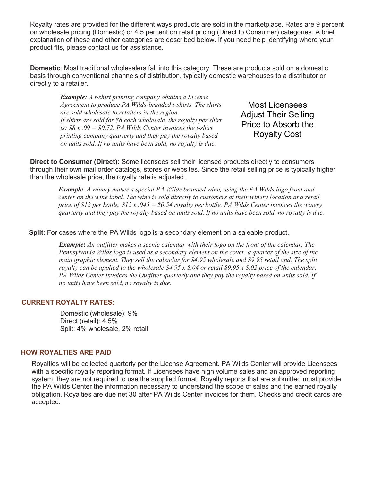Royalty rates are provided for the different ways products are sold in the marketplace. Rates are 9 percent on wholesale pricing (Domestic) or 4.5 percent on retail pricing (Direct to Consumer) categories. A brief explanation of these and other categories are described below. If you need help identifying where your product fits, please contact us for assistance.

**Domestic**: Most traditional wholesalers fall into this category. These are products sold on a domestic basis through conventional channels of distribution, typically domestic warehouses to a distributor or directly to a retailer.

*Example: A t-shirt printing company obtains a License Agreement to produce PA Wilds-branded t-shirts. The shirts are sold wholesale to retailers in the region. If shirts are sold for \$8 each wholesale, the royalty per shirt*  is:  $88x.09 = 0.72$ . PA Wilds Center invoices the t-shirt *printing company quarterly and they pay the royalty based on units sold. If no units have been sold, no royalty is due.*

Most Licensees Adjust Their Selling Price to Absorb the Royalty Cost

**Direct to Consumer (Direct):** Some licensees sell their licensed products directly to consumers through their own mail order catalogs, stores or websites. Since the retail selling price is typically higher than the wholesale price, the royalty rate is adjusted.

*Example*: *A winery makes a special PA-Wilds branded wine, using the PA Wilds logo front and center on the wine label. The wine is sold directly to customers at their winery location at a retail price of \$12 per bottle. \$12 x .045 = \$0.54 royalty per bottle. PA Wilds Center invoices the winery quarterly and they pay the royalty based on units sold. If no units have been sold, no royalty is due.*

 **Split**: For cases where the PA Wilds logo is a secondary element on a saleable product.

*Example***:** *An outfitter makes a scenic calendar with their logo on the front of the calendar. The Pennsylvania Wilds logo is used as a secondary element on the cover, a quarter of the size of the main graphic element. They sell the calendar for \$4.95 wholesale and \$9.95 retail and. The split royalty can be applied to the wholesale \$4.95 x \$.04 or retail \$9.95 x \$.02 price of the calendar. PA Wilds Center invoices the Outfitter quarterly and they pay the royalty based on units sold. If no units have been sold, no royalty is due.*

#### **CURRENT ROYALTY RATES:**

Domestic (wholesale): 9% Direct (retail): 4.5% Split: 4% wholesale, 2% retail

#### **HOW ROYALTIES ARE PAID**

Royalties will be collected quarterly per the License Agreement. PA Wilds Center will provide Licensees with a specific royalty reporting format. If Licensees have high volume sales and an approved reporting system, they are not required to use the supplied format. Royalty reports that are submitted must provide the PA Wilds Center the information necessary to understand the scope of sales and the earned royalty obligation. Royalties are due net 30 after PA Wilds Center invoices for them. Checks and credit cards are accepted.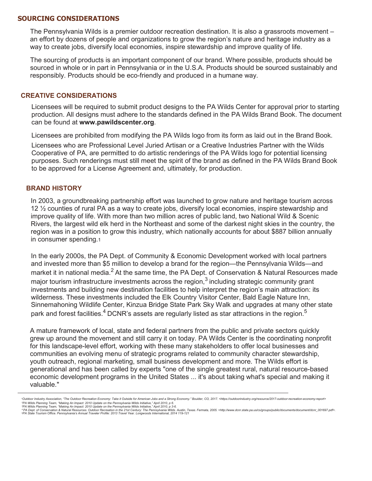## **SOURCING CONSIDERATIONS**

The Pennsylvania Wilds is a premier outdoor recreation destination. It is also a grassroots movement – an effort by dozens of people and organizations to grow the region's nature and heritage industry as a way to create jobs, diversify local economies, inspire stewardship and improve quality of life.

The sourcing of products is an important component of our brand. Where possible, products should be sourced in whole or in part in Pennsylvania or in the U.S.A. Products should be sourced sustainably and responsibly. Products should be eco-friendly and produced in a humane way.

### **CREATIVE CONSIDERATIONS**

Licensees will be required to submit product designs to the PA Wilds Center for approval prior to starting production. All designs must adhere to the standards defined in the PA Wilds Brand Book. The document can be found at **[www.pawildscenter.org](http://www.pawildscenter.org/)**[.](http://www.pawildscenter.org/)

Licensees are prohibited from modifying the PA Wilds logo from its form as laid out in the Brand Book.

Licensees who are Professional Level Juried Artisan or a Creative Industries Partner with the Wilds Cooperative of PA, are permitted to do artistic renderings of the PA Wilds logo for potential licensing purposes. Such renderings must still meet the spirit of the brand as defined in the PA Wilds Brand Book to be approved for a License Agreement and, ultimately, for production.

## **BRAND HISTORY**

In 2003, a groundbreaking partnership effort was launched to grow nature and heritage tourism across 12 ½ counties of rural PA as a way to create jobs, diversify local economies, inspire stewardship and improve quality of life. With more than two million acres of public land, two National Wild & Scenic Rivers, the largest wild elk herd in the Northeast and some of the darkest night skies in the country, the region was in a position to grow this industry, which nationally accounts for about \$887 billion annually in consumer spending.1

In the early 2000s, the PA Dept. of Community & Economic Development worked with local partners and invested more than \$5 million to develop a brand for the region—the Pennsylvania Wilds—and market it in national media.<sup>2</sup> At the same time, the PA Dept. of Conservation & Natural Resources made major tourism infrastructure investments across the region, $3$  including strategic community grant investments and building new destination facilities to help interpret the region's main attraction: its wilderness. These investments included the Elk Country Visitor Center, Bald Eagle Nature Inn, Sinnemahoning Wildlife Center, Kinzua Bridge State Park Sky Walk and upgrades at many other state park and forest facilities.<sup>4</sup> DCNR's assets are regularly listed as star attractions in the region.<sup>5</sup>

A mature framework of local, state and federal partners from the public and private sectors quickly grew up around the movement and still carry it on today. PA Wilds Center is the coordinating nonprofit for this landscape-level effort, working with these many stakeholders to offer local businesses and communities an evolving menu of strategic programs related to community character stewardship, youth outreach, regional marketing, small business development and more. The Wilds effort is generational and has been called by experts "one of the single greatest rural, natural resource-based economic development programs in the United States ... it's about taking what's special and making it valuable."

<sup>&#</sup>x27;Outdoor Industry Association, "The Outdoor Recreation Economy: Take it Outside for American Jobs and a Strong Economy." Boulder, CO, 2017. <https://outdoorindustry.org/resource/2017-outdoor-recreation-economy-report><br>?PA